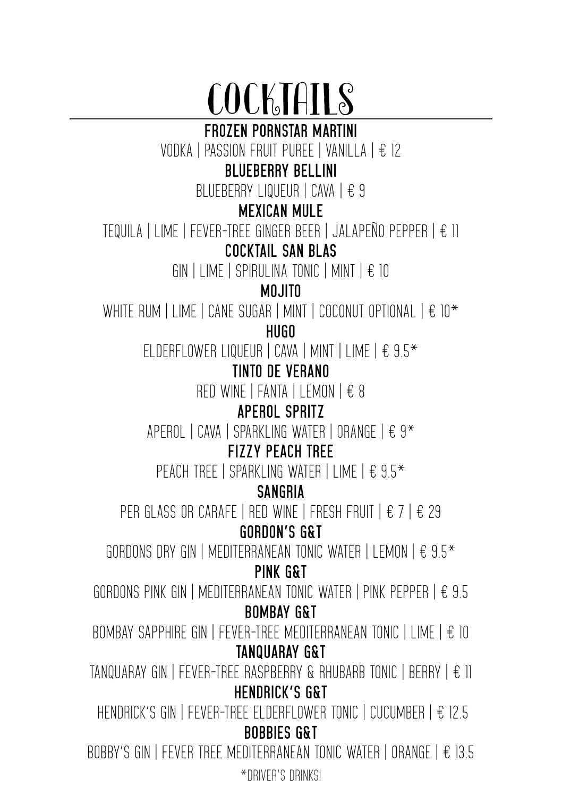# COCKTAILS

**FROZEN PORNSTAR MARTINI**

VODKA | PASSION FRUIT PUREE | VANILLA | € 12

#### **BLUEBERRY BELLINI**

BLUEBERRY LIQUEUR | CAVA | € 9

#### **MEXICAN MULE**

TEQUILA | LIME | FEVER-TREE GINGER BEER | JALAPEÑO PEPPER | € 11

#### **COCKTAIL SAN BLAS**

GIN | LIME | SPIRULINA TONIC | MINT |  $\epsilon$  10

#### **MOJITO**

WHITE RUM | LIME | CANE SUGAR | MINT | COCONUT OPTIONAL |  $\epsilon$  10<sup>\*</sup>

**HUGO**

ELDERFLOWER LIQUEUR | CAVA | MINT | LIME | € 9.5\*

#### **TINTO DE VERANO**

RED WINE | FANTA | LEMON | € 8

#### **APEROL SPRITZ**

APEROL | CAVA | SPARKLING WATER | ORANGE |  $f$  9<sup>\*</sup>

#### **FIZZY PEACH TREE**

PEACH TREE | SPARKLING WATER | LIME | € 9.5<sup>\*</sup>

#### **SANGRIA**

PER GLASS OR CARAFE | RED WINE | FRESH FRUIT |  $\epsilon$  7 |  $\epsilon$  29

#### **GORDON'S G&T**

GORDONS DRY GIN | MEDITERRANEAN TONIC WATER | LEMON |  $\epsilon$  9.5<sup>\*</sup>

#### **PINK G&T**

GORDONS PINK GIN | MEDITERRANEAN TONIC WATER | PINK PEPPER | € 9.5 **BOMBAY G&T**

BOMBAY SAPPHIRE GIN | FEVER-TREE MEDITERRANEAN TONIC | LIME | € 10 **TANQUARAY G&T**

TANQUARAY GIN | FEVER-TREE RASPBERRY & RHUBARB TONIC | BERRY | € 11 **HENDRICK'S G&T**

HENDRICK'S GIN | FEVER-TREE ELDERFLOWER TONIC | CUCUMBER | € 12.5 **BOBBIES G&T**

BOBBY'S GIN | FEVER TREE MEDITERRANEAN TONIC WATER | ORANGE |  $\epsilon$  13.5 \*DRIVER'S DRINKS!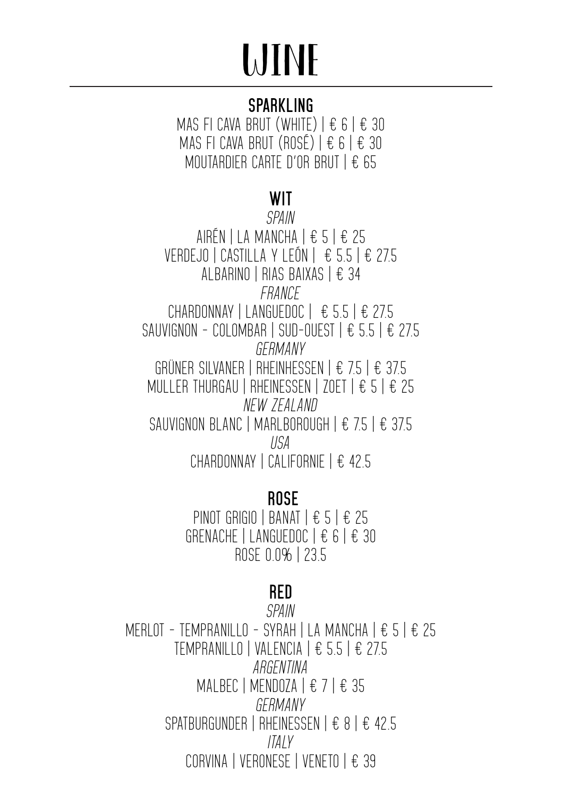## WINE

#### **SPARKLING**

MAS FI CAVA BRUT (WHITE)  $\vert \pm 6 \vert \pm 30 \vert$ MAS FI CAVA BRUT (ROSÉ)  $\vert \pm 6 \vert \pm 30 \vert$ MOUTARDIER CARTE D'OR BRUT | € 65

#### **WIT**

*SPAIN* AIRÉN | LA MANCHA | € 5 | € 25 VERDEJO | CASTILLA Y LEÓN | € 5.5 | € 27.5 ALBARINO | RIAS BAIXAS | € 34 *FRANCE* CHARDONNAY | LANGUEDOC  $\left| \right.$   $\in$  5.5  $\left| \right.$   $\in$  27.5 SAUVIGNON - COLOMBAR | SUD-OUEST  $\parallel \text{\large $\epsilon$}$  5.5  $\parallel \text{\large $\epsilon$}$  27.5 *GERMANY* GRÜNER SILVANER | RHEINHESSEN | € 7.5 | € 37.5 MULLER THURGAU | RHEINESSEN | ZOET | € 5 | € 25 *NEW ZEALAND* SAUVIGNON BLANC | MARLBOROUGH | € 75 | € 375 *USA* CHARDONNAY | CALIFORNIE | € 42.5

#### **ROSE**

PINOT GRIGIO | BANAT | € 5 | € 25 GRENACHE | LANGUEDOC | € 6 | € 30 ROSE 0.0% | 23.5

#### **RED**

*SPAIN* MERLOT - TEMPRANILLO - SYRAH | LA MANCHA | € 5 | € 25 TEMPRANILLO | VALENCIA | € 5.5 | € 27.5 *ARGENTINA* MALBEC | MENDOZA  $\vert \epsilon$  7  $\vert \epsilon$  35 *GERMANY* SPATBURGUNDER | RHEINESSEN | € 8 | € 42.5 *ITALY* CORVINA | VERONESE | VENETO | € 39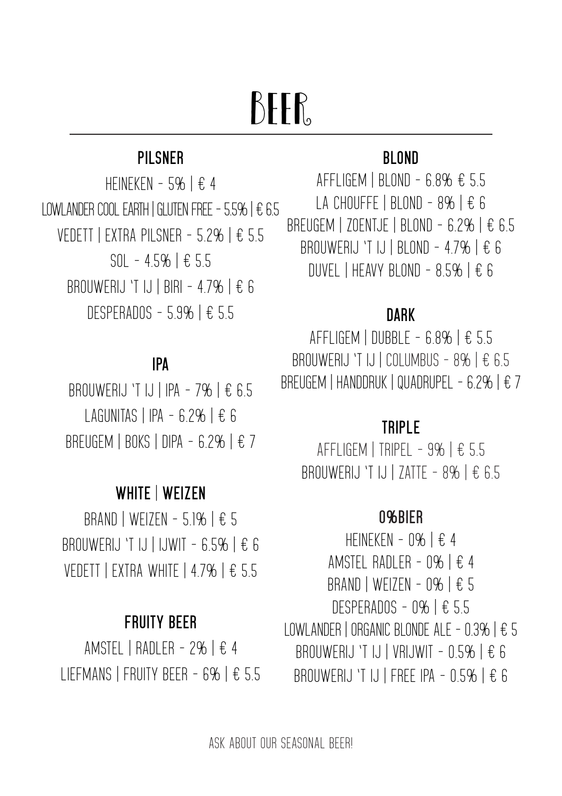### BFFR.

#### **PILSNER**

HEINEKEN - 5%  $E$  4 LOWLANDER COOL FARTH I GLUTEN FREE - 5.5%  $E$  6.5 VEDETT | EXTRA PILSNER - 5.2% | € 5.5 SOL - 4.5% | € 5.5 BROUWERLJ 'T LJ | BIRI - 47% | € 6 DESPERADOS - 5.9% | € 5.5

#### **IPA**

BROUWERLJ 'T IJ | IPA - 7%  $E$  6.5 LAGUNITAS | IPA - 6.2%  $E$  6 BREUGEM | BOKS | DIPA - 6.2% |  $\epsilon$  7

#### **WHITE** | **WEIZEN**

BRAND | WEIZEN - 5.1%  $E$  5 BROUWERIJ 'T IJ | IJWIT - 6.5% | € 6 VEDETT | EXTRA WHITE | 4.7% | € 5.5

#### **FRUITY BEER**

AMSTEL | RADLER - 2% | € 4 LIEFMANS | FRUITY BEER - 6% | € 5.5

#### **BLOND**

AFFLIGEM | BLOND - 6.8% € 5.5 LA CHOUFFE | BLOND - 8%  $\vert \epsilon \rangle$  6 BREUGEM | ZOENTJE | BLOND - 6.2% | € 6.5 BROUWERIJ 'T IJ | BLOND - 4.7% | € 6 DUVEL | HEAVY BLOND -  $8.5\%$  |  $\epsilon$  6

#### **DARK**

AFFLIGEM | DUBBLE - 6.8% | € 5.5 BROUWERIJ 'T IJ | COLUMBUS - 8% | € 6.5 BREUGEM | HANDDRUK | QUADRUPEL - 6.2% | € 7

#### **TRIPLE**

AFFLIGEM | TRIPEL - 9% |  $E$  5.5 BROUWERIJ 'T IJ | ZATTE - 8% | € 6.5

#### **0%BIER**

HEINEKEN - 0%  $\pm$  4 AMSTEL RADLER - 0% | € 4 BRAND | WEIZEN - 0% | € 5 DESPERADOS - 0% | € 5.5 LOWLANDER | ORGANIC BLONDE ALE - 0.3% | € 5 BROUWERIJ 'T IJ | VRIJWIT -  $0.5\%$  | € 6 BROUWERIJ 'T IJ | FREE IPA -  $0.5\%$  | € 6